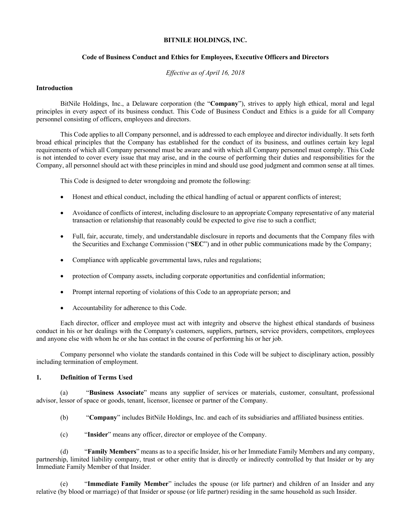#### **BITNILE HOLDINGS, INC.**

### **Code of Business Conduct and Ethics for Employees, Executive Officers and Directors**

*Effective as of April 16, 2018*

# **Introduction**

BitNile Holdings, Inc., a Delaware corporation (the "**Company**"), strives to apply high ethical, moral and legal principles in every aspect of its business conduct. This Code of Business Conduct and Ethics is a guide for all Company personnel consisting of officers, employees and directors.

This Code applies to all Company personnel, and is addressed to each employee and director individually. It sets forth broad ethical principles that the Company has established for the conduct of its business, and outlines certain key legal requirements of which all Company personnel must be aware and with which all Company personnel must comply. This Code is not intended to cover every issue that may arise, and in the course of performing their duties and responsibilities for the Company, all personnel should act with these principles in mind and should use good judgment and common sense at all times.

This Code is designed to deter wrongdoing and promote the following:

- Honest and ethical conduct, including the ethical handling of actual or apparent conflicts of interest;
- Avoidance of conflicts of interest, including disclosure to an appropriate Company representative of any material transaction or relationship that reasonably could be expected to give rise to such a conflict;
- Full, fair, accurate, timely, and understandable disclosure in reports and documents that the Company files with the Securities and Exchange Commission ("**SEC**") and in other public communications made by the Company;
- Compliance with applicable governmental laws, rules and regulations;
- protection of Company assets, including corporate opportunities and confidential information;
- Prompt internal reporting of violations of this Code to an appropriate person; and
- Accountability for adherence to this Code.

Each director, officer and employee must act with integrity and observe the highest ethical standards of business conduct in his or her dealings with the Company's customers, suppliers, partners, service providers, competitors, employees and anyone else with whom he or she has contact in the course of performing his or her job.

Company personnel who violate the standards contained in this Code will be subject to disciplinary action, possibly including termination of employment.

#### **1. Definition of Terms Used**

(a) "**Business Associate**" means any supplier of services or materials, customer, consultant, professional advisor, lessor of space or goods, tenant, licensor, licensee or partner of the Company.

- (b) "**Company**" includes BitNile Holdings, Inc. and each of its subsidiaries and affiliated business entities.
- (c) "**Insider**" means any officer, director or employee of the Company.

(d) "**Family Members**" means as to a specific Insider, his or her Immediate Family Members and any company, partnership, limited liability company, trust or other entity that is directly or indirectly controlled by that Insider or by any Immediate Family Member of that Insider.

(e) "**Immediate Family Member**" includes the spouse (or life partner) and children of an Insider and any relative (by blood or marriage) of that Insider or spouse (or life partner) residing in the same household as such Insider.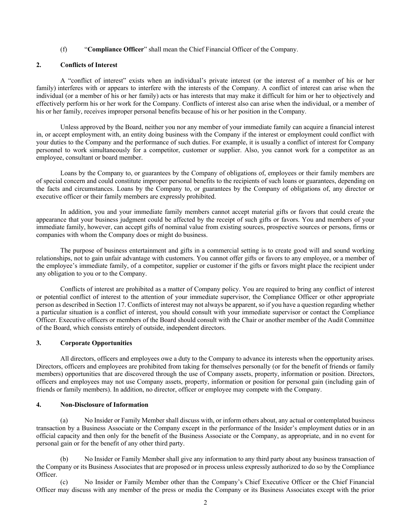### (f) "**Compliance Officer**" shall mean the Chief Financial Officer of the Company.

### **2. Conflicts of Interest**

A "conflict of interest" exists when an individual's private interest (or the interest of a member of his or her family) interferes with or appears to interfere with the interests of the Company. A conflict of interest can arise when the individual (or a member of his or her family) acts or has interests that may make it difficult for him or her to objectively and effectively perform his or her work for the Company. Conflicts of interest also can arise when the individual, or a member of his or her family, receives improper personal benefits because of his or her position in the Company.

Unless approved by the Board, neither you nor any member of your immediate family can acquire a financial interest in, or accept employment with, an entity doing business with the Company if the interest or employment could conflict with your duties to the Company and the performance of such duties. For example, it is usually a conflict of interest for Company personnel to work simultaneously for a competitor, customer or supplier. Also, you cannot work for a competitor as an employee, consultant or board member.

Loans by the Company to, or guarantees by the Company of obligations of, employees or their family members are of special concern and could constitute improper personal benefits to the recipients of such loans or guarantees, depending on the facts and circumstances. Loans by the Company to, or guarantees by the Company of obligations of, any director or executive officer or their family members are expressly prohibited.

In addition, you and your immediate family members cannot accept material gifts or favors that could create the appearance that your business judgment could be affected by the receipt of such gifts or favors. You and members of your immediate family, however, can accept gifts of nominal value from existing sources, prospective sources or persons, firms or companies with whom the Company does or might do business.

The purpose of business entertainment and gifts in a commercial setting is to create good will and sound working relationships, not to gain unfair advantage with customers. You cannot offer gifts or favors to any employee, or a member of the employee's immediate family, of a competitor, supplier or customer if the gifts or favors might place the recipient under any obligation to you or to the Company.

Conflicts of interest are prohibited as a matter of Company policy. You are required to bring any conflict of interest or potential conflict of interest to the attention of your immediate supervisor, the Compliance Officer or other appropriate person as described in Section 17. Conflicts of interest may not always be apparent, so if you have a question regarding whether a particular situation is a conflict of interest, you should consult with your immediate supervisor or contact the Compliance Officer. Executive officers or members of the Board should consult with the Chair or another member of the Audit Committee of the Board, which consists entirely of outside, independent directors.

# **3. Corporate Opportunities**

All directors, officers and employees owe a duty to the Company to advance its interests when the opportunity arises. Directors, officers and employees are prohibited from taking for themselves personally (or for the benefit of friends or family members) opportunities that are discovered through the use of Company assets, property, information or position. Directors, officers and employees may not use Company assets, property, information or position for personal gain (including gain of friends or family members). In addition, no director, officer or employee may compete with the Company.

#### **4. Non-Disclosure of Information**

(a) No Insider or Family Member shall discuss with, or inform others about, any actual or contemplated business transaction by a Business Associate or the Company except in the performance of the Insider's employment duties or in an official capacity and then only for the benefit of the Business Associate or the Company, as appropriate, and in no event for personal gain or for the benefit of any other third party.

No Insider or Family Member shall give any information to any third party about any business transaction of the Company or its Business Associates that are proposed or in process unless expressly authorized to do so by the Compliance Officer.

(c) No Insider or Family Member other than the Company's Chief Executive Officer or the Chief Financial Officer may discuss with any member of the press or media the Company or its Business Associates except with the prior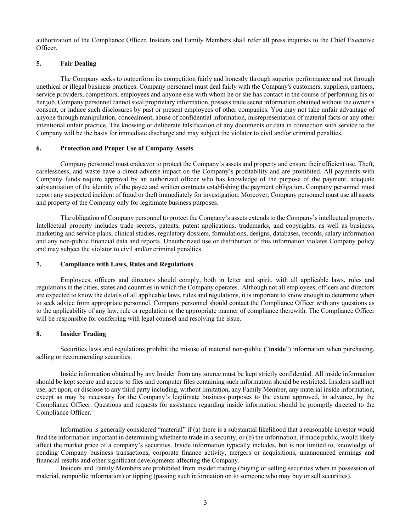authorization of the Compliance Officer. Insiders and Family Members shall refer all press inquiries to the Chief Executive Officer.

# **5. Fair Dealing**

The Company seeks to outperform its competition fairly and honestly through superior performance and not through unethical or illegal business practices. Company personnel must deal fairly with the Company's customers, suppliers, partners, service providers, competitors, employees and anyone else with whom he or she has contact in the course of performing his or her job. Company personnel cannot steal proprietary information, possess trade secret information obtained without the owner's consent, or induce such disclosures by past or present employees of other companies. You may not take unfair advantage of anyone through manipulation, concealment, abuse of confidential information, misrepresentation of material facts or any other intentional unfair practice. The knowing or deliberate falsification of any documents or data in connection with service to the Company will be the basis for immediate discharge and may subject the violator to civil and/or criminal penalties.

### **6. Protection and Proper Use of Company Assets**

Company personnel must endeavor to protect the Company's assets and property and ensure their efficient use. Theft, carelessness, and waste have a direct adverse impact on the Company's profitability and are prohibited. All payments with Company funds require approval by an authorized officer who has knowledge of the purpose of the payment, adequate substantiation of the identity of the payee and written contracts establishing the payment obligation. Company personnel must report any suspected incident of fraud or theft immediately for investigation. Moreover, Company personnel must use all assets and property of the Company only for legitimate business purposes.

The obligation of Company personnel to protect the Company's assets extends to the Company's intellectual property. Intellectual property includes trade secrets, patents, patent applications, trademarks, and copyrights, as well as business, marketing and service plans, clinical studies, regulatory dossiers, formulations, designs, databases, records, salary information and any non-public financial data and reports. Unauthorized use or distribution of this information violates Company policy and may subject the violator to civil and/or criminal penalties.

#### **7. Compliance with Laws, Rules and Regulations**

Employees, officers and directors should comply, both in letter and spirit, with all applicable laws, rules and regulations in the cities, states and countries in which the Company operates. Although not all employees, officers and directors are expected to know the details of all applicable laws, rules and regulations, it is important to know enough to determine when to seek advice from appropriate personnel. Company personnel should contact the Compliance Officer with any questions as to the applicability of any law, rule or regulation or the appropriate manner of compliance therewith. The Compliance Officer will be responsible for conferring with legal counsel and resolving the issue.

### **8. Insider Trading**

Securities laws and regulations prohibit the misuse of material non-public ("**inside**") information when purchasing, selling or recommending securities.

Inside information obtained by any Insider from any source must be kept strictly confidential. All inside information should be kept secure and access to files and computer files containing such information should be restricted. Insiders shall not use, act upon, or disclose to any third party including, without limitation, any Family Member, any material inside information, except as may be necessary for the Company's legitimate business purposes to the extent approved, in advance, by the Compliance Officer. Questions and requests for assistance regarding inside information should be promptly directed to the Compliance Officer.

Information is generally considered "material" if (a) there is a substantial likelihood that a reasonable investor would find the information important in determining whether to trade in a security, or (b) the information, if made public, would likely affect the market price of a company's securities. Inside information typically includes, but is not limited to, knowledge of pending Company business transactions, corporate finance activity, mergers or acquisitions, unannounced earnings and financial results and other significant developments affecting the Company.

Insiders and Family Members are prohibited from insider trading (buying or selling securities when in possession of material, nonpublic information) or tipping (passing such information on to someone who may buy or sell securities).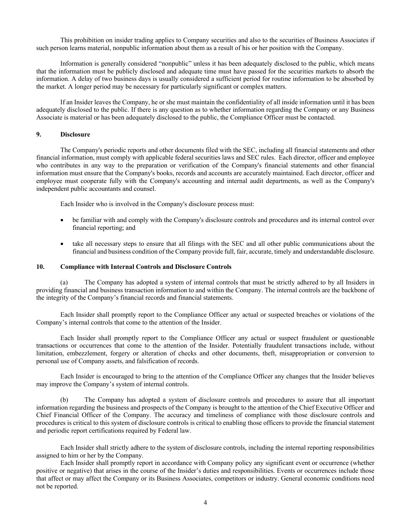This prohibition on insider trading applies to Company securities and also to the securities of Business Associates if such person learns material, nonpublic information about them as a result of his or her position with the Company.

Information is generally considered "nonpublic" unless it has been adequately disclosed to the public, which means that the information must be publicly disclosed and adequate time must have passed for the securities markets to absorb the information. A delay of two business days is usually considered a sufficient period for routine information to be absorbed by the market. A longer period may be necessary for particularly significant or complex matters.

If an Insider leaves the Company, he or she must maintain the confidentiality of all inside information until it has been adequately disclosed to the public. If there is any question as to whether information regarding the Company or any Business Associate is material or has been adequately disclosed to the public, the Compliance Officer must be contacted.

#### **9. Disclosure**

The Company's periodic reports and other documents filed with the SEC, including all financial statements and other financial information, must comply with applicable federal securities laws and SEC rules. Each director, officer and employee who contributes in any way to the preparation or verification of the Company's financial statements and other financial information must ensure that the Company's books, records and accounts are accurately maintained. Each director, officer and employee must cooperate fully with the Company's accounting and internal audit departments, as well as the Company's independent public accountants and counsel.

Each Insider who is involved in the Company's disclosure process must:

- be familiar with and comply with the Company's disclosure controls and procedures and its internal control over financial reporting; and
- take all necessary steps to ensure that all filings with the SEC and all other public communications about the financial and business condition of the Company provide full, fair, accurate, timely and understandable disclosure.

### **10. Compliance with Internal Controls and Disclosure Controls**

(a) The Company has adopted a system of internal controls that must be strictly adhered to by all Insiders in providing financial and business transaction information to and within the Company. The internal controls are the backbone of the integrity of the Company's financial records and financial statements.

Each Insider shall promptly report to the Compliance Officer any actual or suspected breaches or violations of the Company's internal controls that come to the attention of the Insider.

Each Insider shall promptly report to the Compliance Officer any actual or suspect fraudulent or questionable transactions or occurrences that come to the attention of the Insider. Potentially fraudulent transactions include, without limitation, embezzlement, forgery or alteration of checks and other documents, theft, misappropriation or conversion to personal use of Company assets, and falsification of records.

Each Insider is encouraged to bring to the attention of the Compliance Officer any changes that the Insider believes may improve the Company's system of internal controls.

(b) The Company has adopted a system of disclosure controls and procedures to assure that all important information regarding the business and prospects of the Company is brought to the attention of the Chief Executive Officer and Chief Financial Officer of the Company. The accuracy and timeliness of compliance with those disclosure controls and procedures is critical to this system of disclosure controls is critical to enabling those officers to provide the financial statement and periodic report certifications required by Federal law.

Each Insider shall strictly adhere to the system of disclosure controls, including the internal reporting responsibilities assigned to him or her by the Company.

Each Insider shall promptly report in accordance with Company policy any significant event or occurrence (whether positive or negative) that arises in the course of the Insider's duties and responsibilities. Events or occurrences include those that affect or may affect the Company or its Business Associates, competitors or industry. General economic conditions need not be reported.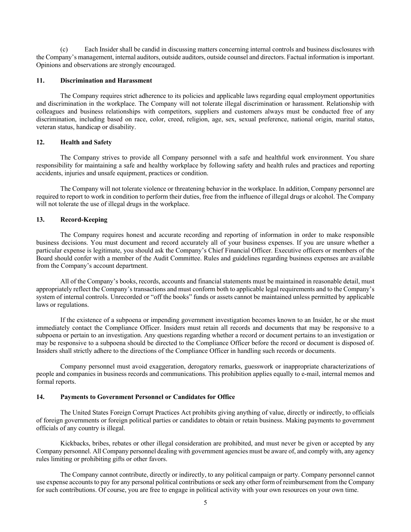(c) Each Insider shall be candid in discussing matters concerning internal controls and business disclosures with the Company's management, internal auditors, outside auditors, outside counsel and directors. Factual information is important. Opinions and observations are strongly encouraged.

### **11. Discrimination and Harassment**

The Company requires strict adherence to its policies and applicable laws regarding equal employment opportunities and discrimination in the workplace. The Company will not tolerate illegal discrimination or harassment. Relationship with colleagues and business relationships with competitors, suppliers and customers always must be conducted free of any discrimination, including based on race, color, creed, religion, age, sex, sexual preference, national origin, marital status, veteran status, handicap or disability.

# **12. Health and Safety**

The Company strives to provide all Company personnel with a safe and healthful work environment. You share responsibility for maintaining a safe and healthy workplace by following safety and health rules and practices and reporting accidents, injuries and unsafe equipment, practices or condition.

The Company will not tolerate violence or threatening behavior in the workplace. In addition, Company personnel are required to report to work in condition to perform their duties, free from the influence of illegal drugs or alcohol. The Company will not tolerate the use of illegal drugs in the workplace.

### **13. Record-Keeping**

The Company requires honest and accurate recording and reporting of information in order to make responsible business decisions. You must document and record accurately all of your business expenses. If you are unsure whether a particular expense is legitimate, you should ask the Company's Chief Financial Officer. Executive officers or members of the Board should confer with a member of the Audit Committee. Rules and guidelines regarding business expenses are available from the Company's account department.

All of the Company's books, records, accounts and financial statements must be maintained in reasonable detail, must appropriately reflect the Company's transactions and must conform both to applicable legal requirements and to the Company's system of internal controls. Unrecorded or "off the books" funds or assets cannot be maintained unless permitted by applicable laws or regulations.

If the existence of a subpoena or impending government investigation becomes known to an Insider, he or she must immediately contact the Compliance Officer. Insiders must retain all records and documents that may be responsive to a subpoena or pertain to an investigation. Any questions regarding whether a record or document pertains to an investigation or may be responsive to a subpoena should be directed to the Compliance Officer before the record or document is disposed of. Insiders shall strictly adhere to the directions of the Compliance Officer in handling such records or documents.

Company personnel must avoid exaggeration, derogatory remarks, guesswork or inappropriate characterizations of people and companies in business records and communications. This prohibition applies equally to e-mail, internal memos and formal reports.

#### **14. Payments to Government Personnel or Candidates for Office**

The United States Foreign Corrupt Practices Act prohibits giving anything of value, directly or indirectly, to officials of foreign governments or foreign political parties or candidates to obtain or retain business. Making payments to government officials of any country is illegal.

Kickbacks, bribes, rebates or other illegal consideration are prohibited, and must never be given or accepted by any Company personnel. All Company personnel dealing with government agencies must be aware of, and comply with, any agency rules limiting or prohibiting gifts or other favors.

The Company cannot contribute, directly or indirectly, to any political campaign or party. Company personnel cannot use expense accounts to pay for any personal political contributions or seek any other form of reimbursement from the Company for such contributions. Of course, you are free to engage in political activity with your own resources on your own time.